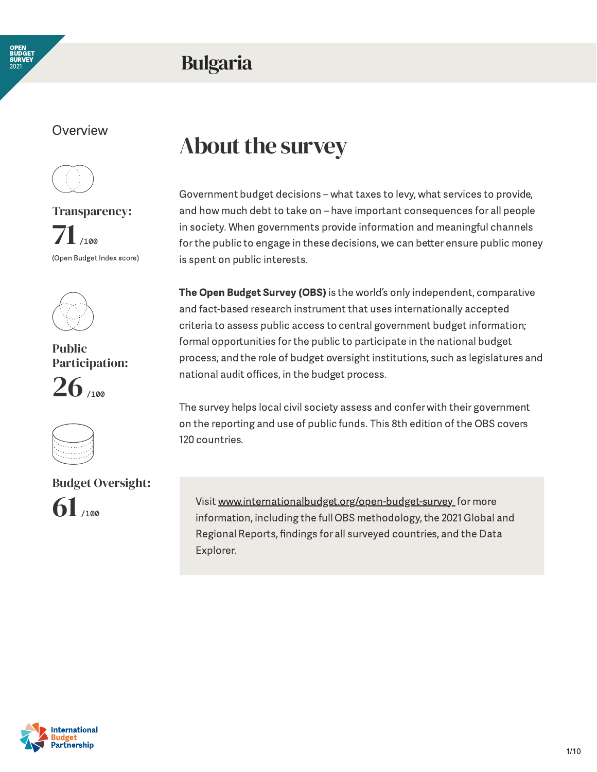

### Bulgaria

#### **Overview**



Transparency:  $71$ <sub>/100</sub> (Open Budget Index score)



Public Participation:  $26$  /100



#### Budget Oversight:



### About the survey

Government budget decisions – what taxes to levy, what services to provide, and how much debt to take on – have important consequences for all people in society. When governments provide information and meaningful channels for the public to engage in these decisions, we can better ensure public money is spent on public interests.

The Open Budget Survey (OBS) is the world's only independent, comparative and fact-based research instrument that uses internationally accepted criteria to assess public access to central government budget information; formal opportunities forthe public to participate in the national budget process; and the role of budget oversight institutions, such as legislatures and national audit offices, in the budget process.

The survey helps local civil society assess and confer with their government on the reporting and use of public funds. This 8th edition of the OBS covers 120 countries.

Visit [www.internationalbudget.org/open-budget-survey](http://www.openbudgetsurvey.org/) for more information, including the full OBS methodology, the 2021 Global and Regional Reports, findings for all surveyed countries, and the Data Explorer.

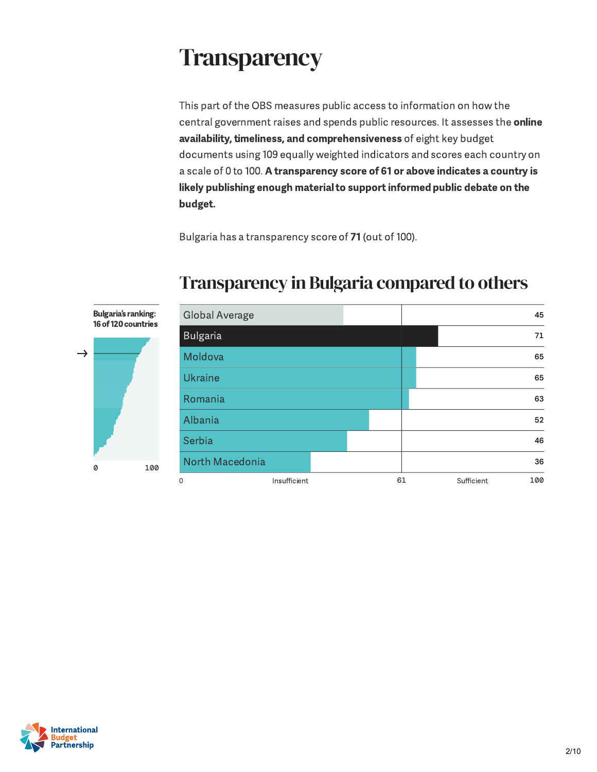### **Transparency**

This part of the OBS measures public access to information on how the central government raises and spends public resources. It assesses the online availability, timeliness, and comprehensiveness of eight key budget documents using 109 equally weighted indicators and scores each country on a scale of 0 to 100. A transparency score of 61 or above indicates a country is likely publishing enough material to support informed public debate on the budget.

Bulgaria has a transparency score of 71 (out of 100).



#### Transparency in Bulgaria compared to others

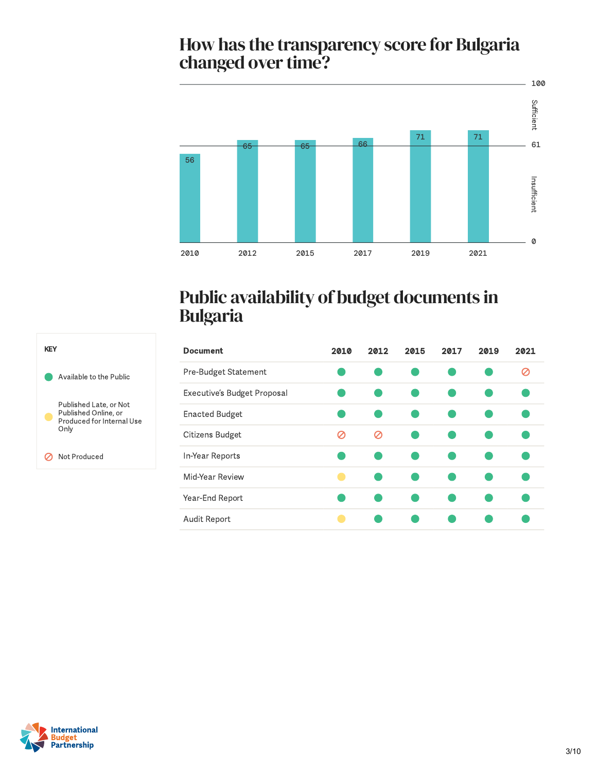# How has the transparency score for Bulgaria<br>changed over time?



#### Public availability of budget documents in Bulgaria

| <b>Document</b>             | 2010 | 2012 | 2015 | 2017 | 2019 | 2021 |
|-----------------------------|------|------|------|------|------|------|
| Pre-Budget Statement        |      |      |      |      |      | Ø    |
| Executive's Budget Proposal |      |      |      |      |      |      |
| <b>Enacted Budget</b>       |      |      |      |      |      |      |
| Citizens Budget             | Ø    | Ø    |      |      |      |      |
| In-Year Reports             |      |      |      |      |      |      |
| Mid-Year Review             |      |      |      |      |      |      |
| Year-End Report             |      |      |      |      |      |      |
| Audit Report                |      |      |      |      |      |      |



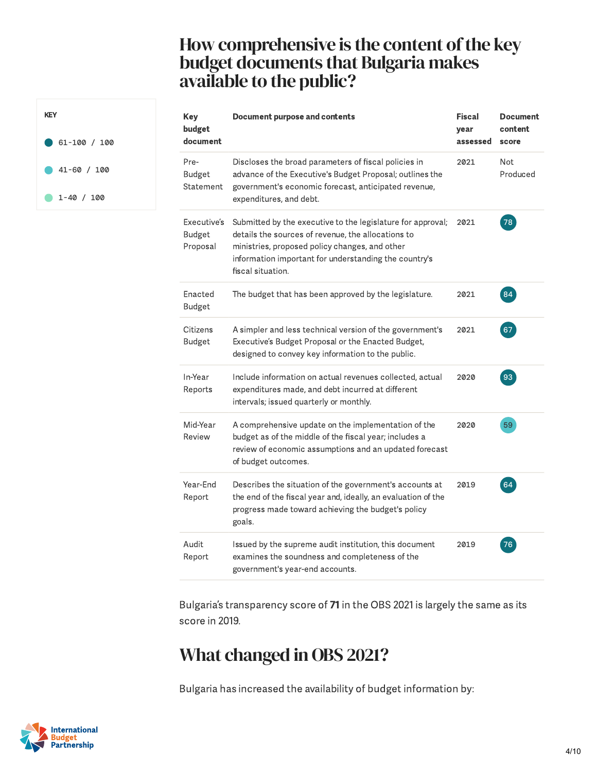#### How comprehensive is the content of the key budget documents that Bulgaria makes available to the public?

| <b>Key</b><br>budget<br>document  | <b>Document purpose and contents</b>                                                                                                                                                                                                              | <b>Fiscal</b><br>year<br>assessed | <b>Document</b><br>content<br>score |
|-----------------------------------|---------------------------------------------------------------------------------------------------------------------------------------------------------------------------------------------------------------------------------------------------|-----------------------------------|-------------------------------------|
| Pre-<br>Budget<br>Statement       | Discloses the broad parameters of fiscal policies in<br>advance of the Executive's Budget Proposal; outlines the<br>government's economic forecast, anticipated revenue,<br>expenditures, and debt.                                               | 2021                              | Not<br>Produced                     |
| Executive's<br>Budget<br>Proposal | Submitted by the executive to the legislature for approval;<br>details the sources of revenue, the allocations to<br>ministries, proposed policy changes, and other<br>information important for understanding the country's<br>fiscal situation. | 2021                              | 78                                  |
| Enacted<br>Budget                 | The budget that has been approved by the legislature.                                                                                                                                                                                             | 2021                              | 84                                  |
| Citizens<br><b>Budget</b>         | A simpler and less technical version of the government's<br>Executive's Budget Proposal or the Enacted Budget,<br>designed to convey key information to the public.                                                                               | 2021                              | 67                                  |
| In-Year<br>Reports                | Include information on actual revenues collected, actual<br>expenditures made, and debt incurred at different<br>intervals; issued quarterly or monthly.                                                                                          | 2020                              | 93                                  |
| Mid-Year<br>Review                | A comprehensive update on the implementation of the<br>budget as of the middle of the fiscal year; includes a<br>review of economic assumptions and an updated forecast<br>of budget outcomes.                                                    | 2020                              | 59                                  |
| Year-End<br>Report                | Describes the situation of the government's accounts at<br>the end of the fiscal year and, ideally, an evaluation of the<br>progress made toward achieving the budget's policy<br>goals.                                                          | 2019                              | 64                                  |
| Audit<br>Report                   | Issued by the supreme audit institution, this document<br>examines the soundness and completeness of the<br>government's year-end accounts.                                                                                                       | 2019                              | 76                                  |

Bulgaria's transparency score of 71 in the OBS 2021 is largely the same as its score in 2019.

### What changed in OBS 2021?

Bulgaria has increased the availability of budget information by:



KEY

61-100 / 100

41-60 / 100

 $1-40 / 100$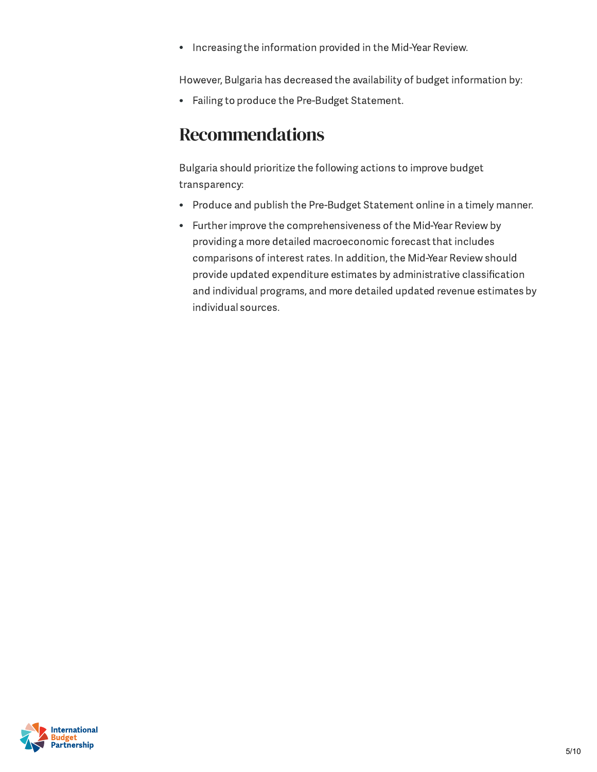Increasing the information provided in the Mid-Year Review.  $\bullet$ 

However, Bulgaria has decreased the availability of budget information by:

Failing to produce the Pre-Budget Statement.

#### Recommendations

Bulgaria should prioritize the following actions to improve budget transparency:

- Produce and publish the Pre-Budget Statement online in a timely manner.  $\bullet$
- Further improve the comprehensiveness of the Mid-Year Review by  $\bullet$ providing a more detailed macroeconomic forecast that includes comparisons of interest rates. In addition, the Mid-Year Review should provide updated expenditure estimates by administrative classification and individual programs, and more detailed updated revenue estimates by individual sources.

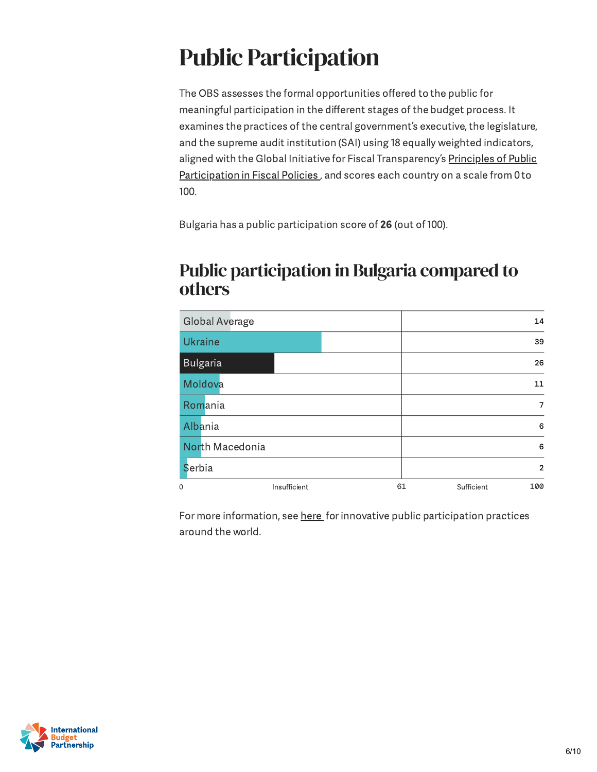## Public Participation

The OBS assesses the formal opportunities offered to the public for meaningful participation in the different stages of the budget process. It examines the practices of the central government's executive, the legislature, and the supreme audit institution (SAI) using 18 equally weighted indicators, aligned with the Global Initiative for Fiscal [Transparency](https://fiscaltransparency.net/public-participation-principles-and-guide/) 's Principles of Public Participation in Fiscal Policies, and scores each country on a scale from 0 to 100.

Bulgaria has a public participation score of 26 (out of 100).

#### Public participation in Bulgaria compared to others

| <b>Global Average</b> |    | 14                |
|-----------------------|----|-------------------|
| <b>Ukraine</b>        |    | 39                |
| <b>Bulgaria</b>       |    | 26                |
| Moldova               |    | 11                |
| Romania               |    | 7                 |
| Albania               |    | 6                 |
| North Macedonia       |    | 6                 |
| Serbia                |    | $\overline{2}$    |
| 0<br>Insufficient     | 61 | 100<br>Sufficient |

For more information, see [here](https://www.fiscaltransparency.net/case-studies/) for innovative public participation practices around the world.

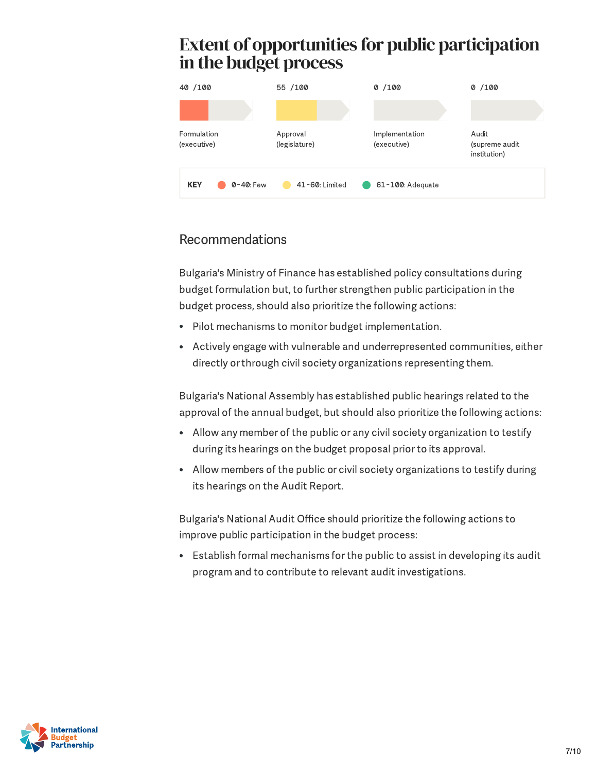# in the budget process



#### Recommendations

Bulgaria's Ministry of Finance has established policy consultations during budget formulation but, to further strengthen public participation in the budget process, should also prioritize the following actions:

- Pilot mechanisms to monitor budget implementation.
- Actively engage with vulnerable and underrepresented communities, either directly or through civil society organizations representing them.

Bulgaria's National Assembly has established public hearings related to the approval of the annual budget, but should also prioritize the following actions:

- Allow any member of the public or any civil society organization to testify during its hearings on the budget proposal priorto its approval.
- Allow members of the public or civil society organizations to testify during its hearings on the Audit Report.

Bulgaria's National Audit Office should prioritize the following actions to improve public participation in the budget process:

Establish formal mechanisms forthe public to assist in developing its audit program and to contribute to relevant audit investigations.

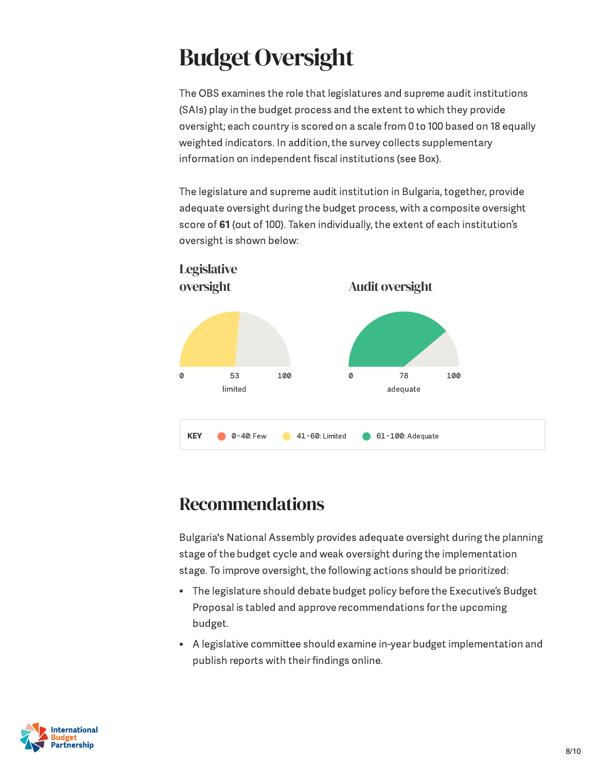### **Budget Oversight**

The OBS examines the role that legislatures and supreme audit institutions (SAIs) play in the budget process and the extent to which they provide oversight; each country is scored on a scale from 0 to 100 based on 18 equally weighted indicators. In addition, the survey collects supplementary information on independent fiscal institutions (see Box).

The legislature and supreme audit institution in Bulgaria, together, provide adequate oversight during the budget process, with a composite oversight score of 61 (out of 100). Taken individually, the extent of each institution's oversight is shown below:



#### Recommendations

Bulgaria's National Assembly provides adequate oversight during the planning stage of the budget cycle and weak oversight during the implementation stage. To improve oversight, the following actions should be prioritized:

- The legislature should debate budget policy before the Executive ' s Budget Proposal is tabled and approve recommendations forthe upcoming budget.
- A legislative committee should examine in-year budget implementation and publish reports with their findings online.

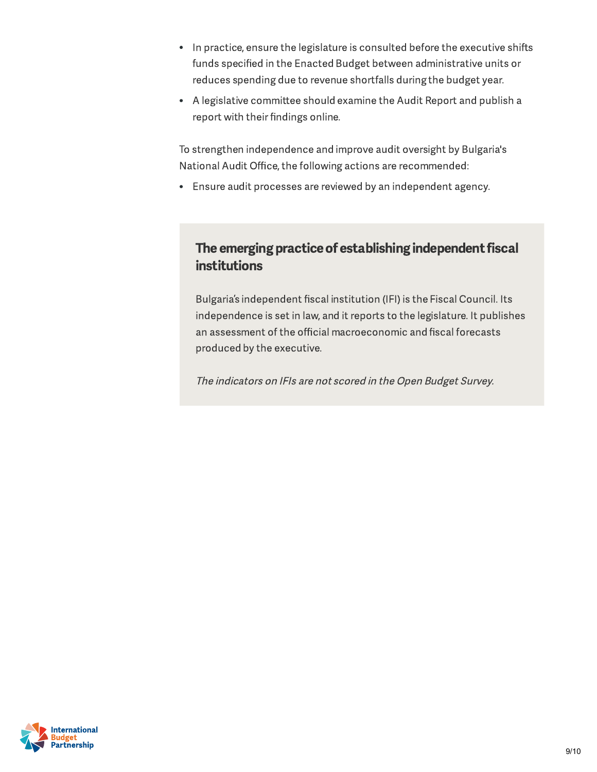- In practice, ensure the legislature is consulted before the executive shifts funds specified in the Enacted Budget between administrative units or reduces spending due to revenue shortfalls during the budget year.
- A legislative committee should examine the Audit Report and publish a report with their findings online.

To strengthen independence and improve audit oversight by Bulgaria's National Audit Office, the following actions are recommended:

Ensure audit processes are reviewed by an independent agency.

#### The emerging practice of establishing independent fiscal institutions

Bulgaria ' s independent fiscal institution (IFI) is the Fiscal Council. Its independence is set in law, and it reports to the legislature. It publishes an assessment of the official macroeconomic and fiscal forecasts produced by the executive.

The indicators on IFIs are not scored in the Open Budget Survey.